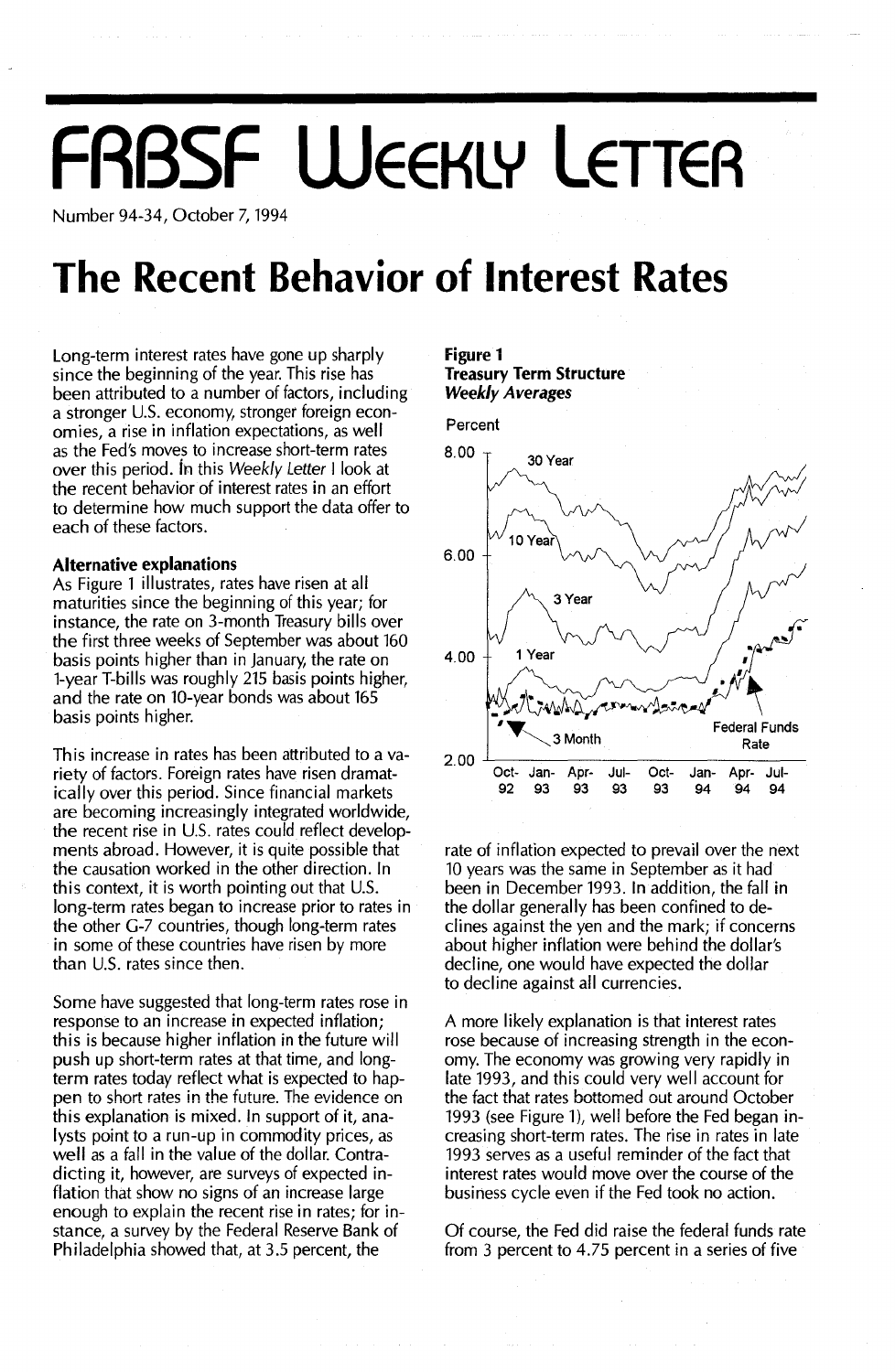# **FRBSF WEEKLY LETTER**

Number 94-34, October 7, 1994

# **The Recent Behavior of Interest Rates**

Long-term interest rates have gone up sharply since the beginning of the year. This rise has been attributed to a number of factors, including a stronger U.s. economy, stronger foreign economies, a rise in inflation expectations, as well as the Fed's moves to increase short-term rates over this period. ih this Weekly Letter I look at the recent behavior of interest rates in an effort to determine how much support the data offer to each of these factors.

#### **Alternative explanations**

As Figure 1 illustrates, rates have risen at all maturities since the beginning of this year; for instance, the rate on 3-month Treasury bills over the first three weeks of September was about 160 basis points higher than in January, the rate on l-year T-bills was roughly 215 basis points higher, and the rate on 10-year bonds was about 165 basis points higher.

This increase in rates has been attributed to a variety of factors. Foreign rates have risen dramatically over this period. Since financial markets are becoming increasingly integrated worldwide, the recent rise in U.s. rates could reflect developments abroad. However, it is quite possible that the causation worked in the other direction. In this context, it is worth pointing out that U.S. long-term rates began to increase prior to rates in the other G-7 countries, though long-term rates in some of these countries have risen by more than U.S. rates since then.

Some have suggested that long-term rates rose in response to an increase in expected inflation; this is because higher inflation in the future will push up short-term rates at that time, and longterm rates today reflect what is expected to happen to short rates in the future. The evidence on this explanation is mixed. In support of it, analysts point to a run-up in commodity prices, as well as a fall in the value of the dollar. Contradicting it, however, are surveys of expected inflation that show no signs of an increase large enough to explain the recent rise in rates; for instance, a survey by the Federal Reserve Bank of Philadelphia showed that, at 3.5 percent, the

#### **Figure 1 Treasury Term Structure** *Weekly Averages*





rate of inflation expected to prevail over the next 10 years was the same in September as it had been in December 1993. In addition, the fall in the dollar generally has been confined to declines against the yen and the mark; if concerns about higher inflation were behind the dollar's decline, one would have expected the dollar to decline against all currencies.

A more likely explanation is that interest rates rose because of increasing strength in the economy. The economy was growing very rapidly in late 1993, and this could very well account for the fact that rates bottomed out around October 1993 (see Figure 1), well before the Fed began increasing short-term rates. The rise in rates in late 1993 serves as a useful reminder of the fact that interest rates would move over the course of the business cycle even if the Fed took no action.

Of course, the Fed did raise the federal funds rate from 3 percent to 4.75 percent in a series of five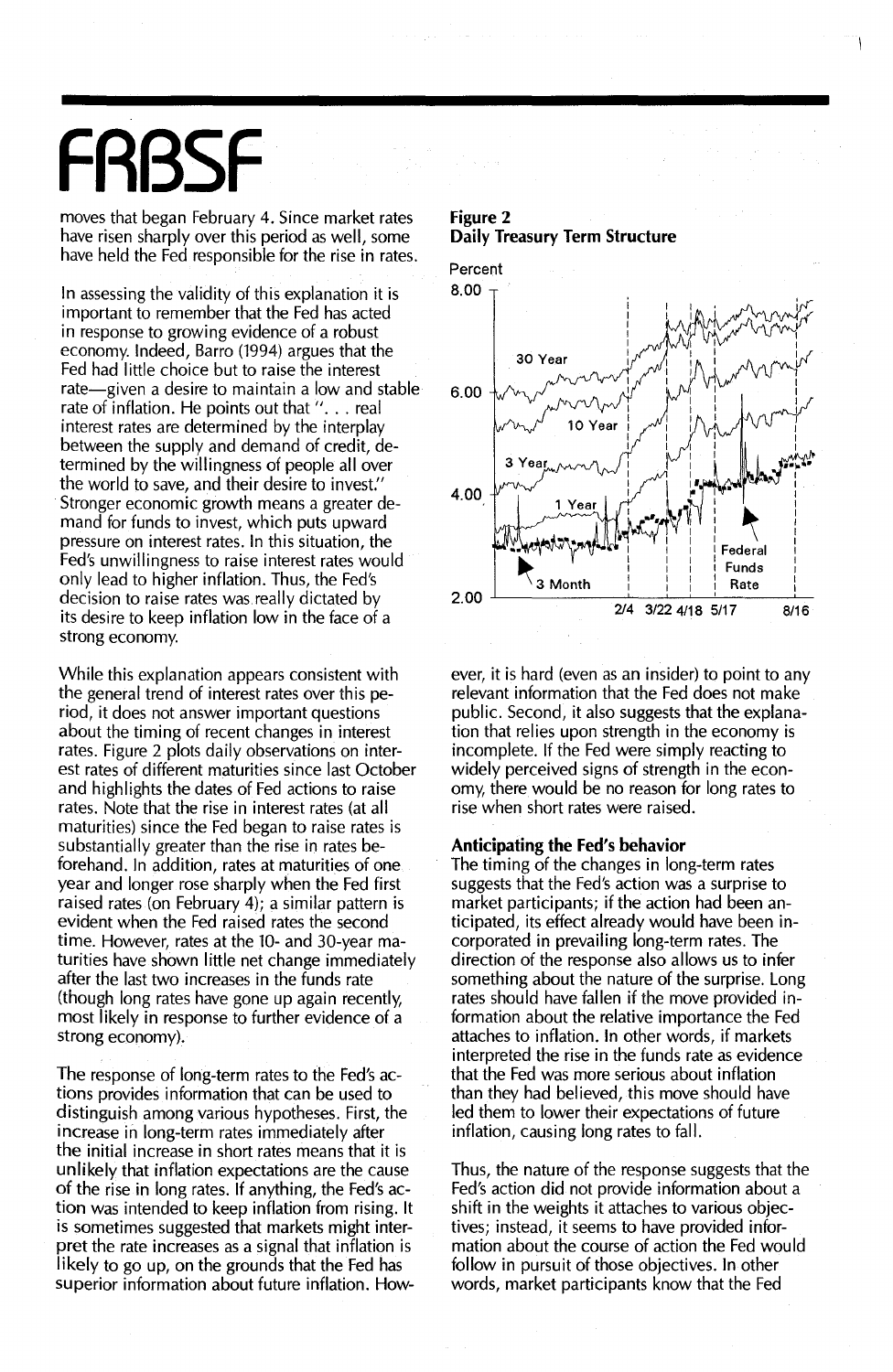# **FRBSF**

moves that began February 4. Since market rates have risen sharply over this period as well, some have held the Fed responsible for the rise in rates.

8.00 In assessing the validity of this explanation it is important to remember that the Fed has acted in response to growing evidence of a robust economy. Indeed, Barro (1994) argues that the Fed had little choice but to raise the interest rate-given a desire to maintain a low and stable rate of inflation. He points out that ". . . real interest rates are determined by the interplay between the supply and demand of credit, determined by the willingness of people allover the world to save, and their desire to invest." Stronger economic growth means a greater demand for funds to invest, which puts upward pressure on interest rates. In this situation, the Fed's unwillingness to raise interest rates would only lead to higher inflation. Thus, the Fed's decision to raise rates was really dictated by its desire to keep inflation low in the face of a strong economy.

While this explanation appears consistent with the general trend of interest rates over this period, it does not answer important questions about the timing of recent changes in interest rates. Figure 2 plots daily observations on interest rates of different maturities since last October and highlights the dates of Fed actions to raise rates. Note that the rise in interest rates (at all maturities) since the Fed began to raise rates is substantially greater than the rise in rates beforehand. In addition, rates at maturities of one year and longer rose sharply when the Fed first raised rates (on February 4); a similar pattern is evident when the Fed raised rates the second time. However, rates at the 10- and 30-year maturities have shown little net change immediately after the last two increases in the funds rate (though long rates have gone up again recently, most likely in response to further evidence of a strong economy).

The response of long-term rates to the Fed's actions provides information that can be used to distinguish among various hypotheses. First, the increase in long-term rates immediately after the initial increase in short rates means that it is unlikely that inflation expectations are the cause of the rise in long rates. If anything, the Fed's action was intended to keep inflation from rising. It is sometimes suggested that markets might interpret the rate increases as a signal that inflation is likely to go up, on the grounds that the Fed has superior information about future inflation. How-

## **Figure** 2 **Daily Treasury Term Structure**



ever, it is hard (even as an insider) to point to any relevant information that the Fed does not make public. Second, it also suggests that the explanation that relies upon strength in the economy is incomplete. If the Fed were simply reacting to widely perceived signs of strength in the economy, there would be no reason for long rates to rise when short rates were raised.

### **Anticipating the Fed's behavior**

The timing of the changes in long-term rates suggests that the Fed's action was a surprise to market participants; if the action had been anticipated, its effect already would have been incorporated in prevailing long-term rates. The direction of the response also allows us to infer something about the nature of the surprise. Long rates should have fallen if the move provided information about the relative importance the Fed attaches to inflation. In other words, if markets interpreted the rise in the funds rate as evidence that the Fed was more serious about inflation than they had believed, this move should have led them to lower their expectations of future inflation, causing long rates to fall.

Thus, the nature of the response suggests that the Fed's action did not provide information about a shift in the weights it attaches to various objectives; instead, it seems to have provided information about the course of action the Fed would follow in pursuit of those objectives. In other words, market participants know that the Fed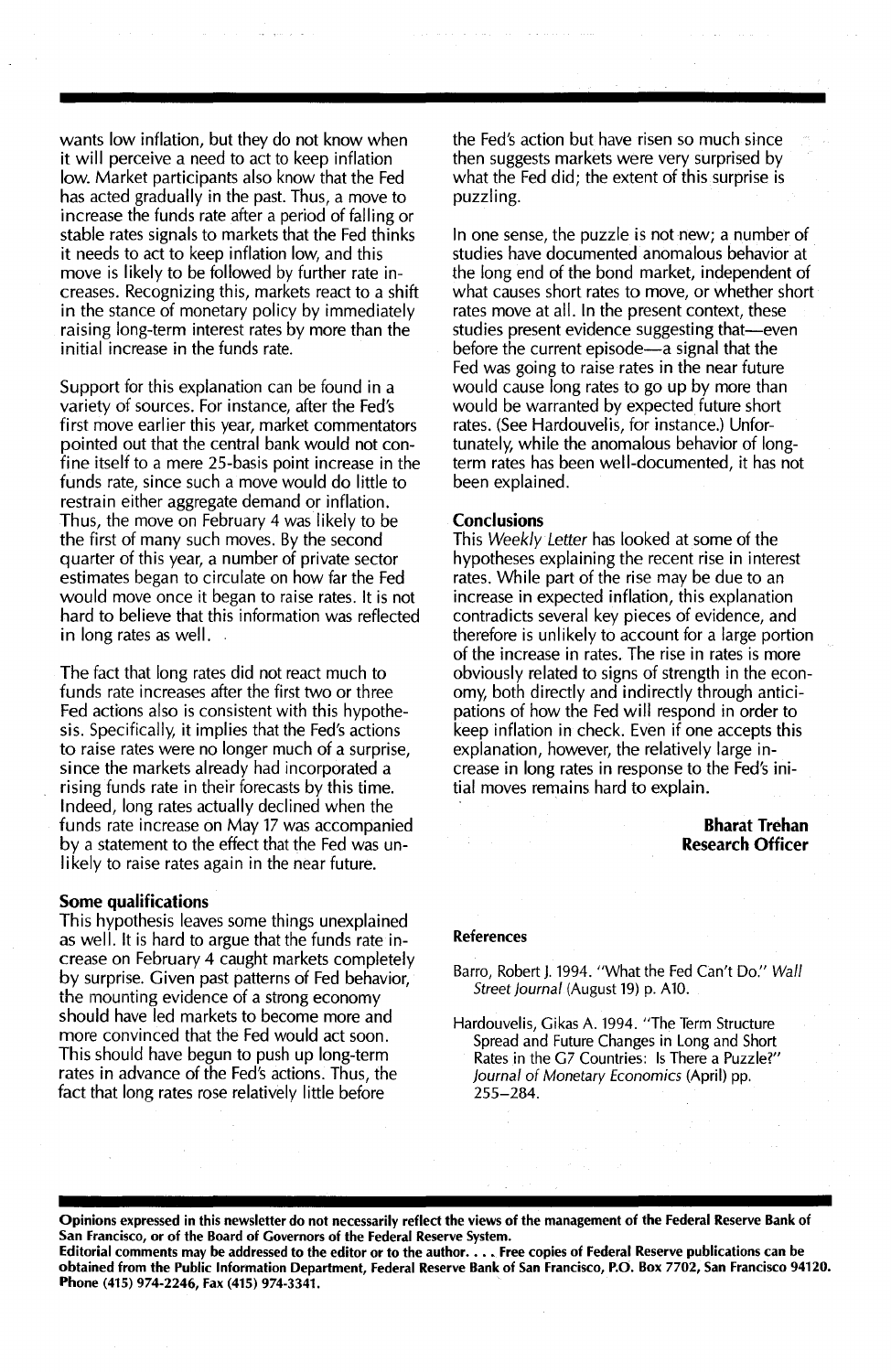wants low inflation, but they do not know when it will perceive a need to act to keep inflation low. Market participants also know that the Fed has acted gradually in the past. Thus, a move to increase the funds rate after a period of falling or stable rates signals to markets that the Fed thinks it needs to act to keep inflation low, and this move is likely to be followed by further rate increases. Recognizing this, markets react to a shift in the stance of monetary policy by immediately raising long-term interest rates by more than the initial increase in the funds rate.

Support for this explanation can be found in a variety of sources. For instance, after the Fed's first move earlier this year, market commentators pointed out that the central bank would not confine itself to a mere 25-basis point increase in the funds rate, since such a move would do little to restrain either aggregate demand or inflation. Thus, the move on February 4 was likely to be the first of many such moves. By the second quarter of this year, a number of private sector estimates began to circulate on how far the Fed would move once it began to raise rates. It is not hard to believe that this information was reflected in long rates as well.

The fact that long rates did not react much to funds rate increases after the first two or three Fed actions also is consistent with this hypothesis. Specifically, it implies that the Fed's actions to raise rates were no longer much of a surprise, since the markets already had incorporated a rising funds rate in their forecasts by this time. Indeed, long rates actually declined when the funds rate increase on May 17 was accompanied by a statement to the effect that the Fed was unlikely to raise rates again in the near future.

#### Some qualifications

This hypothesis leaves some things unexplained as well. It is hard to argue that the funds rate increase on February 4 caught markets completely by surprise. Given past patterns of Fed behavior, the mounting evidence of a strong economy should have led markets to become more and more convinced that the Fed would act soon. This should have begun to push up long-term rates in advance of the Fed's actions. Thus, the fact that long rates rose relatively little before

the Fed's action but have risen so much since then suggests markets were very surprised by what the Fed did; the extent of this surprise is puzzling.

In one sense, the puzzle is not new; a number of studies have documented anomalous behavior at the long end of the bond market, independent of what causes short rates to move, or whether short rates move at all. In the present context, these studies present evidence suggesting that-even before the current episode—a signal that the Fed was going to raise rates in the near future would cause long rates to go up by more than would be warranted by expected future short rates. (See Hardouvelis, for instance.) Unfortunately, while the anomalous behavior of longterm rates has been well-documented, it has not been explained.

#### **Conclusions**

This Weekly Letter has looked at some of the hypotheses explaining the recent rise in interest rates. While part of the rise may be due to an increase in expected inflation, this explanation contradicts several key pieces of evidence, and therefore is unlikely to account for a large portion of the increase in rates. The rise in rates is more obviously related to signs of strength in the economy, both directly and indirectly through anticipations of how the Fed will respond in order to keep inflation in check. Even if one accepts this explanation, however, the relatively large increase in long rates in response to the Fed's initial moves remains hard to explain.

#### Bharat Trehan Research Officer

#### References

Barra, Robert J. 1994. "What the Fed Can't Do." Wall Street Journal (August 19) p. A10.

Hardouvelis, Gikas A. 1994. "The Term Structure Spread and Future Changes in Long and Short Rates in the G7 Countries: Is There a Puzzle?" Journal of Monetary Economics (April) pp. 255-284.

Opinions expressed in this newsletter do not necessarily reflect the views of the management of the Federal Reserve Bank of San Francisco, or of the Board of Governors of the Federal Reserve System.

Editorial comments may be addressed to the editor or to the author...• Free copies of Federal Reserve publications can be obtained from the Public Information Department, Federal Reserve Bank of San Francisco, P.O. Box 7702, San Francisco 94120. Phone (415) 974-2246, Fax (415) 974-3341.